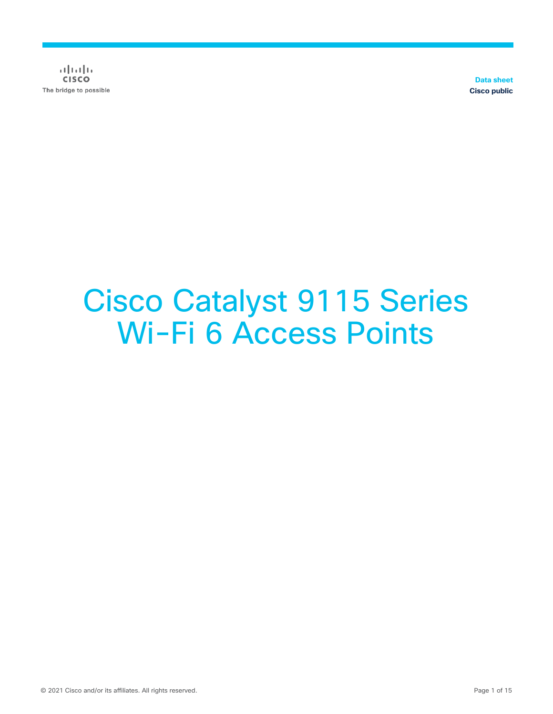$(1)$   $(1)$   $(1)$ **CISCO** The bridge to possible

**Data sheet Cisco public**

# Cisco Catalyst 9115 Series Wi-Fi 6 Access Points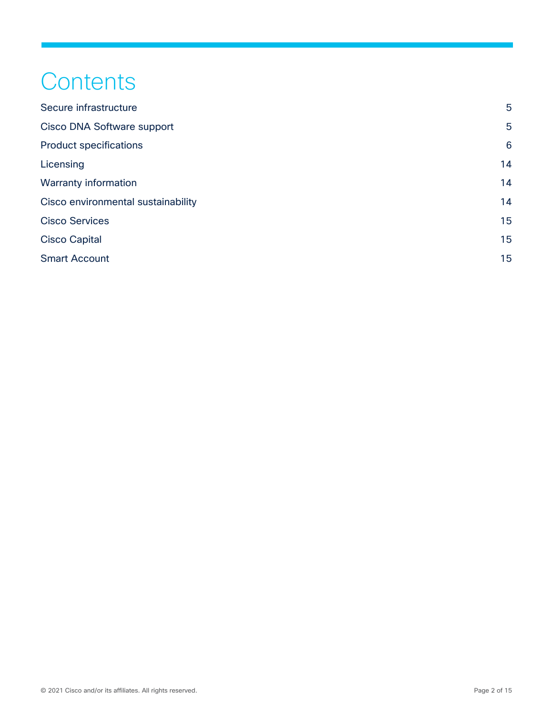## **Contents**

| Secure infrastructure              | $5\phantom{.0}$ |
|------------------------------------|-----------------|
| Cisco DNA Software support         | $5\phantom{.0}$ |
| <b>Product specifications</b>      | 6               |
| Licensing                          | 14              |
| <b>Warranty information</b>        | 14              |
| Cisco environmental sustainability | 14              |
| <b>Cisco Services</b>              | 15              |
| <b>Cisco Capital</b>               | 15              |
| <b>Smart Account</b>               | 15              |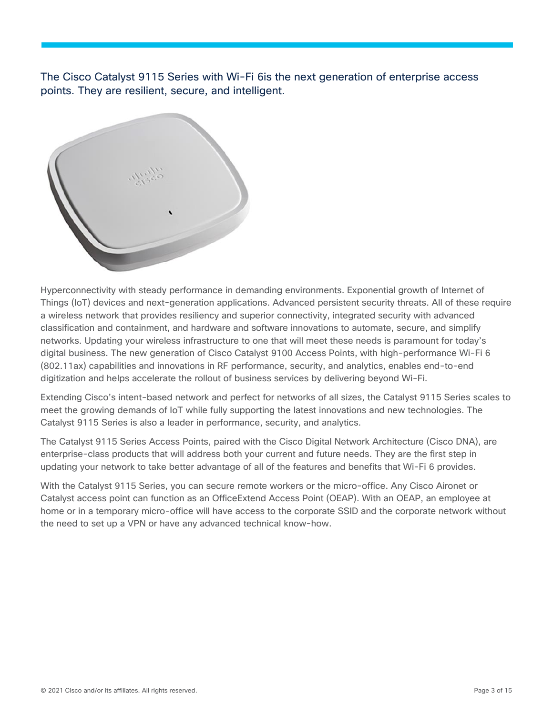The Cisco Catalyst 9115 Series with Wi-Fi 6is the next generation of enterprise access points. They are resilient, secure, and intelligent.



Hyperconnectivity with steady performance in demanding environments. Exponential growth of Internet of Things (IoT) devices and next-generation applications. Advanced persistent security threats. All of these require a wireless network that provides resiliency and superior connectivity, integrated security with advanced classification and containment, and hardware and software innovations to automate, secure, and simplify networks. Updating your wireless infrastructure to one that will meet these needs is paramount for today's digital business. The new generation of Cisco Catalyst 9100 Access Points, with high-performance Wi-Fi 6 (802.11ax) capabilities and innovations in RF performance, security, and analytics, enables end-to-end digitization and helps accelerate the rollout of business services by delivering beyond Wi-Fi.

Extending Cisco's intent-based network and perfect for networks of all sizes, the Catalyst 9115 Series scales to meet the growing demands of IoT while fully supporting the latest innovations and new technologies. The Catalyst 9115 Series is also a leader in performance, security, and analytics.

The Catalyst 9115 Series Access Points, paired with the Cisco Digital Network Architecture (Cisco DNA), are enterprise-class products that will address both your current and future needs. They are the first step in updating your network to take better advantage of all of the features and benefits that Wi-Fi 6 provides.

With the Catalyst 9115 Series, you can secure remote workers or the micro-office. Any Cisco Aironet or Catalyst access point can function as an OfficeExtend Access Point (OEAP). With an OEAP, an employee at home or in a temporary micro-office will have access to the corporate SSID and the corporate network without the need to set up a VPN or have any advanced technical know-how.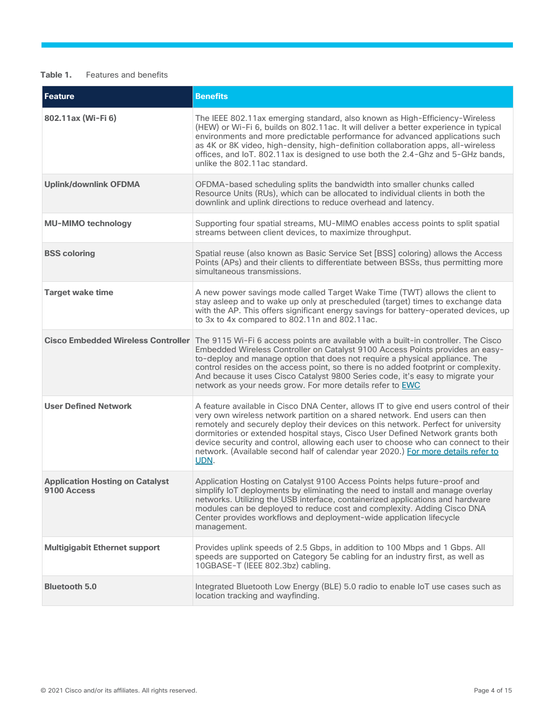#### **Table 1.** Features and benefits

| <b>Feature</b>                                        | <b>Benefits</b>                                                                                                                                                                                                                                                                                                                                                                                                                                                                                                                 |
|-------------------------------------------------------|---------------------------------------------------------------------------------------------------------------------------------------------------------------------------------------------------------------------------------------------------------------------------------------------------------------------------------------------------------------------------------------------------------------------------------------------------------------------------------------------------------------------------------|
| 802.11ax (Wi-Fi 6)                                    | The IEEE 802.11ax emerging standard, also known as High-Efficiency-Wireless<br>(HEW) or Wi-Fi 6, builds on 802.11ac. It will deliver a better experience in typical<br>environments and more predictable performance for advanced applications such<br>as 4K or 8K video, high-density, high-definition collaboration apps, all-wireless<br>offices, and IoT. 802.11ax is designed to use both the 2.4-Ghz and 5-GHz bands,<br>unlike the 802.11ac standard.                                                                    |
| <b>Uplink/downlink OFDMA</b>                          | OFDMA-based scheduling splits the bandwidth into smaller chunks called<br>Resource Units (RUs), which can be allocated to individual clients in both the<br>downlink and uplink directions to reduce overhead and latency.                                                                                                                                                                                                                                                                                                      |
| <b>MU-MIMO technology</b>                             | Supporting four spatial streams, MU-MIMO enables access points to split spatial<br>streams between client devices, to maximize throughput.                                                                                                                                                                                                                                                                                                                                                                                      |
| <b>BSS coloring</b>                                   | Spatial reuse (also known as Basic Service Set [BSS] coloring) allows the Access<br>Points (APs) and their clients to differentiate between BSSs, thus permitting more<br>simultaneous transmissions.                                                                                                                                                                                                                                                                                                                           |
| <b>Target wake time</b>                               | A new power savings mode called Target Wake Time (TWT) allows the client to<br>stay asleep and to wake up only at prescheduled (target) times to exchange data<br>with the AP. This offers significant energy savings for battery-operated devices, up<br>to 3x to 4x compared to 802.11n and 802.11ac.                                                                                                                                                                                                                         |
| <b>Cisco Embedded Wireless Controller</b>             | The 9115 Wi-Fi 6 access points are available with a built-in controller. The Cisco<br>Embedded Wireless Controller on Catalyst 9100 Access Points provides an easy-<br>to-deploy and manage option that does not require a physical appliance. The<br>control resides on the access point, so there is no added footprint or complexity.<br>And because it uses Cisco Catalyst 9800 Series code, it's easy to migrate your<br>network as your needs grow. For more details refer to EWC                                         |
| <b>User Defined Network</b>                           | A feature available in Cisco DNA Center, allows IT to give end users control of their<br>very own wireless network partition on a shared network. End users can then<br>remotely and securely deploy their devices on this network. Perfect for university<br>dormitories or extended hospital stays, Cisco User Defined Network grants both<br>device security and control, allowing each user to choose who can connect to their<br>network. (Available second half of calendar year 2020.) For more details refer to<br>UDN. |
| <b>Application Hosting on Catalyst</b><br>9100 Access | Application Hosting on Catalyst 9100 Access Points helps future-proof and<br>simplify IoT deployments by eliminating the need to install and manage overlay<br>networks. Utilizing the USB interface, containerized applications and hardware<br>modules can be deployed to reduce cost and complexity. Adding Cisco DNA<br>Center provides workflows and deployment-wide application lifecycle<br>management.                                                                                                                  |
| <b>Multigigabit Ethernet support</b>                  | Provides uplink speeds of 2.5 Gbps, in addition to 100 Mbps and 1 Gbps. All<br>speeds are supported on Category 5e cabling for an industry first, as well as<br>10GBASE-T (IEEE 802.3bz) cabling.                                                                                                                                                                                                                                                                                                                               |
| <b>Bluetooth 5.0</b>                                  | Integrated Bluetooth Low Energy (BLE) 5.0 radio to enable IoT use cases such as<br>location tracking and wayfinding.                                                                                                                                                                                                                                                                                                                                                                                                            |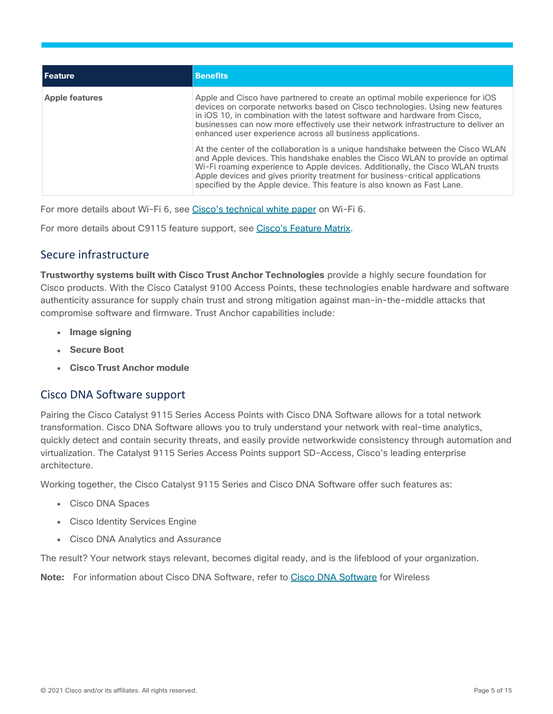| l Feature             | <b>Benefits</b>                                                                                                                                                                                                                                                                                                                                                                                                 |
|-----------------------|-----------------------------------------------------------------------------------------------------------------------------------------------------------------------------------------------------------------------------------------------------------------------------------------------------------------------------------------------------------------------------------------------------------------|
| <b>Apple features</b> | Apple and Cisco have partnered to create an optimal mobile experience for iOS<br>devices on corporate networks based on Cisco technologies. Using new features<br>in iOS 10, in combination with the latest software and hardware from Cisco,<br>businesses can now more effectively use their network infrastructure to deliver an<br>enhanced user experience across all business applications.               |
|                       | At the center of the collaboration is a unique handshake between the Cisco WLAN<br>and Apple devices. This handshake enables the Cisco WLAN to provide an optimal<br>Wi-Fi roaming experience to Apple devices. Additionally, the Cisco WLAN trusts<br>Apple devices and gives priority treatment for business-critical applications<br>specified by the Apple device. This feature is also known as Fast Lane. |

For more details about Wi-Fi 6, see [Cisco's technical white paper](https://www.cisco.com/c/dam/en/us/products/collateral/wireless/white-paper-c11-740788.pdf) on Wi-Fi 6.

For more details about C9115 feature support, see [Cisco's Feature Matrix.](https://www.cisco.com/c/en/us/td/docs/wireless/access_point/feature-matrix/ap-feature-matrix.html)

## <span id="page-4-0"></span>Secure infrastructure

**Trustworthy systems built with Cisco Trust Anchor Technologies** provide a highly secure foundation for Cisco products. With the Cisco Catalyst 9100 Access Points, these technologies enable hardware and software authenticity assurance for supply chain trust and strong mitigation against man-in-the-middle attacks that compromise software and firmware. Trust Anchor capabilities include:

- **Image signing**
- **Secure Boot**
- **Cisco Trust Anchor module**

## <span id="page-4-1"></span>Cisco DNA Software support

Pairing the Cisco Catalyst 9115 Series Access Points with Cisco DNA Software allows for a total network transformation. Cisco DNA Software allows you to truly understand your network with real-time analytics, quickly detect and contain security threats, and easily provide networkwide consistency through automation and virtualization. The Catalyst 9115 Series Access Points support SD-Access, Cisco's leading enterprise architecture.

Working together, the Cisco Catalyst 9115 Series and Cisco DNA Software offer such features as:

- Cisco DNA Spaces
- Cisco Identity Services Engine
- Cisco DNA Analytics and Assurance

The result? Your network stays relevant, becomes digital ready, and is the lifeblood of your organization.

**Note:** For information about Cisco DNA Software, refer to [Cisco DNA](https://www.cisco.com/site/us/en/products/networking/access-software/dna-subscription-wireless/index.html) Software for Wireless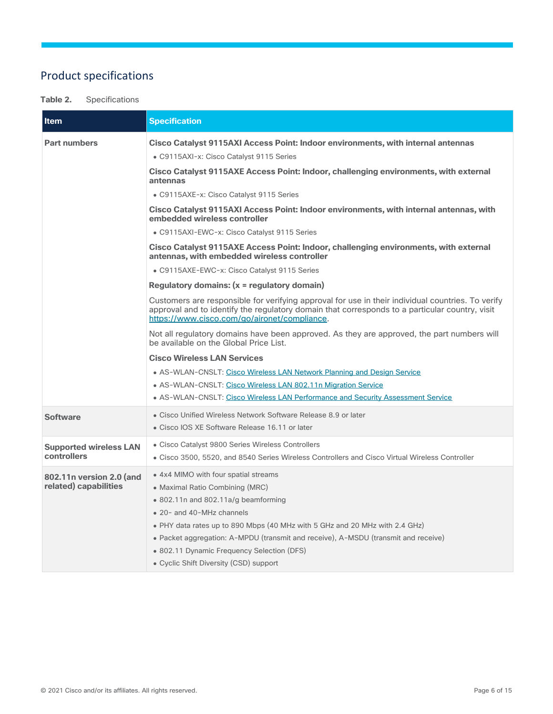## <span id="page-5-0"></span>Product specifications

#### **Table 2.** Specifications

| <b>Item</b>                                       | <b>Specification</b>                                                                                                                                                                                                                                                                                                                                                                                      |
|---------------------------------------------------|-----------------------------------------------------------------------------------------------------------------------------------------------------------------------------------------------------------------------------------------------------------------------------------------------------------------------------------------------------------------------------------------------------------|
| <b>Part numbers</b>                               | Cisco Catalyst 9115AXI Access Point: Indoor environments, with internal antennas                                                                                                                                                                                                                                                                                                                          |
|                                                   | • C9115AXI-x: Cisco Catalyst 9115 Series                                                                                                                                                                                                                                                                                                                                                                  |
|                                                   | Cisco Catalyst 9115AXE Access Point: Indoor, challenging environments, with external<br>antennas                                                                                                                                                                                                                                                                                                          |
|                                                   | • C9115AXE-x: Cisco Catalyst 9115 Series                                                                                                                                                                                                                                                                                                                                                                  |
|                                                   | Cisco Catalyst 9115AXI Access Point: Indoor environments, with internal antennas, with<br>embedded wireless controller                                                                                                                                                                                                                                                                                    |
|                                                   | • C9115AXI-EWC-x: Cisco Catalyst 9115 Series                                                                                                                                                                                                                                                                                                                                                              |
|                                                   | Cisco Catalyst 9115AXE Access Point: Indoor, challenging environments, with external<br>antennas, with embedded wireless controller                                                                                                                                                                                                                                                                       |
|                                                   | • C9115AXE-EWC-x: Cisco Catalyst 9115 Series                                                                                                                                                                                                                                                                                                                                                              |
|                                                   | Regulatory domains: (x = regulatory domain)                                                                                                                                                                                                                                                                                                                                                               |
|                                                   | Customers are responsible for verifying approval for use in their individual countries. To verify<br>approval and to identify the regulatory domain that corresponds to a particular country, visit<br>https://www.cisco.com/go/aironet/compliance.                                                                                                                                                       |
|                                                   | Not all regulatory domains have been approved. As they are approved, the part numbers will<br>be available on the Global Price List.                                                                                                                                                                                                                                                                      |
|                                                   | <b>Cisco Wireless LAN Services</b>                                                                                                                                                                                                                                                                                                                                                                        |
|                                                   | • AS-WLAN-CNSLT: Cisco Wireless LAN Network Planning and Design Service                                                                                                                                                                                                                                                                                                                                   |
|                                                   | • AS-WLAN-CNSLT: Cisco Wireless LAN 802.11n Migration Service                                                                                                                                                                                                                                                                                                                                             |
|                                                   | • AS-WLAN-CNSLT: Cisco Wireless LAN Performance and Security Assessment Service                                                                                                                                                                                                                                                                                                                           |
| <b>Software</b>                                   | • Cisco Unified Wireless Network Software Release 8.9 or later<br>• Cisco IOS XE Software Release 16.11 or later                                                                                                                                                                                                                                                                                          |
| <b>Supported wireless LAN</b><br>controllers      | • Cisco Catalyst 9800 Series Wireless Controllers<br>• Cisco 3500, 5520, and 8540 Series Wireless Controllers and Cisco Virtual Wireless Controller                                                                                                                                                                                                                                                       |
| 802.11n version 2.0 (and<br>related) capabilities | • 4x4 MIMO with four spatial streams<br>• Maximal Ratio Combining (MRC)<br>• 802.11 n and 802.11a/g beamforming<br>• 20- and 40-MHz channels<br>. PHY data rates up to 890 Mbps (40 MHz with 5 GHz and 20 MHz with 2.4 GHz)<br>• Packet aggregation: A-MPDU (transmit and receive), A-MSDU (transmit and receive)<br>• 802.11 Dynamic Frequency Selection (DFS)<br>• Cyclic Shift Diversity (CSD) support |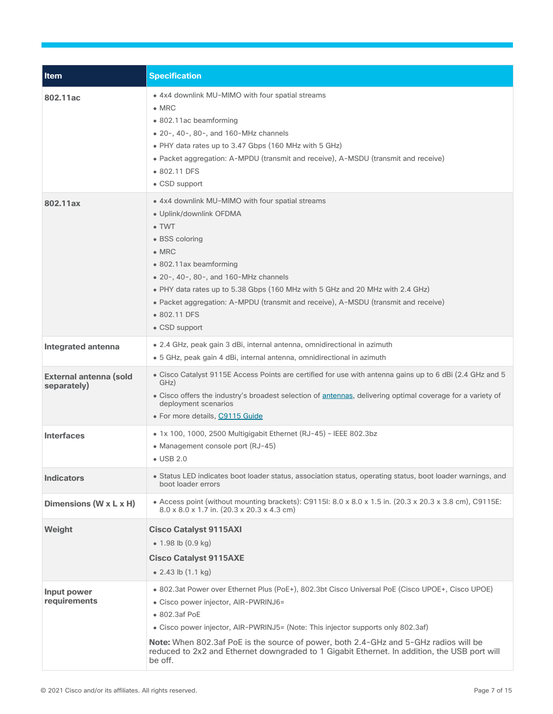| Item                                         | <b>Specification</b>                                                                                                                                                                                                                                                                                                                                                                                                                             |
|----------------------------------------------|--------------------------------------------------------------------------------------------------------------------------------------------------------------------------------------------------------------------------------------------------------------------------------------------------------------------------------------------------------------------------------------------------------------------------------------------------|
| 802.11ac                                     | . 4x4 downlink MU-MIMO with four spatial streams<br>$\bullet$ MRC<br>• 802.11ac beamforming<br>• 20-, 40-, 80-, and 160-MHz channels<br>• PHY data rates up to 3.47 Gbps (160 MHz with 5 GHz)<br>• Packet aggregation: A-MPDU (transmit and receive), A-MSDU (transmit and receive)<br>• 802.11 DFS<br>• CSD support                                                                                                                             |
| 802.11ax                                     | • 4x4 downlink MU-MIMO with four spatial streams<br>· Uplink/downlink OFDMA<br>$\bullet$ TWT<br>• BSS coloring<br>$\bullet$ MRC<br>• 802.11ax beamforming<br>• 20-, 40-, 80-, and 160-MHz channels<br>• PHY data rates up to 5.38 Gbps (160 MHz with 5 GHz and 20 MHz with 2.4 GHz)<br>• Packet aggregation: A-MPDU (transmit and receive), A-MSDU (transmit and receive)<br>• 802.11 DFS<br>• CSD support                                       |
| Integrated antenna                           | • 2.4 GHz, peak gain 3 dBi, internal antenna, omnidirectional in azimuth<br>• 5 GHz, peak gain 4 dBi, internal antenna, omnidirectional in azimuth                                                                                                                                                                                                                                                                                               |
| <b>External antenna (sold</b><br>separately) | • Cisco Catalyst 9115E Access Points are certified for use with antenna gains up to 6 dBi (2.4 GHz and 5<br>GHz)<br>. Cisco offers the industry's broadest selection of antennas, delivering optimal coverage for a variety of<br>deployment scenarios<br>• For more details, C9115 Guide                                                                                                                                                        |
| <b>Interfaces</b>                            | · 1x 100, 1000, 2500 Multigigabit Ethernet (RJ-45) - IEEE 802.3bz<br>• Management console port (RJ-45)<br>$\bullet$ USB 2.0                                                                                                                                                                                                                                                                                                                      |
| <b>Indicators</b>                            | • Status LED indicates boot loader status, association status, operating status, boot loader warnings, and<br>boot loader errors                                                                                                                                                                                                                                                                                                                 |
| Dimensions (W x L x H)                       | • Access point (without mounting brackets): C9115l: 8.0 x 8.0 x 1.5 in. (20.3 x 20.3 x 3.8 cm), C9115E:<br>$8.0 \times 8.0 \times 1.7$ in. (20.3 x 20.3 x 4.3 cm)                                                                                                                                                                                                                                                                                |
| Weight                                       | <b>Cisco Catalyst 9115AXI</b><br>• 1.98 lb $(0.9 \text{ kg})$<br><b>Cisco Catalyst 9115AXE</b><br>• 2.43 lb $(1.1 \text{ kg})$                                                                                                                                                                                                                                                                                                                   |
| Input power<br>requirements                  | . 802.3at Power over Ethernet Plus (PoE+), 802.3bt Cisco Universal PoE (Cisco UPOE+, Cisco UPOE)<br>• Cisco power injector, AIR-PWRINJ6=<br>• 802.3af PoE<br>• Cisco power injector, AIR-PWRINJ5= (Note: This injector supports only 802.3af)<br>Note: When 802.3af PoE is the source of power, both 2.4-GHz and 5-GHz radios will be<br>reduced to 2x2 and Ethernet downgraded to 1 Gigabit Ethernet. In addition, the USB port will<br>be off. |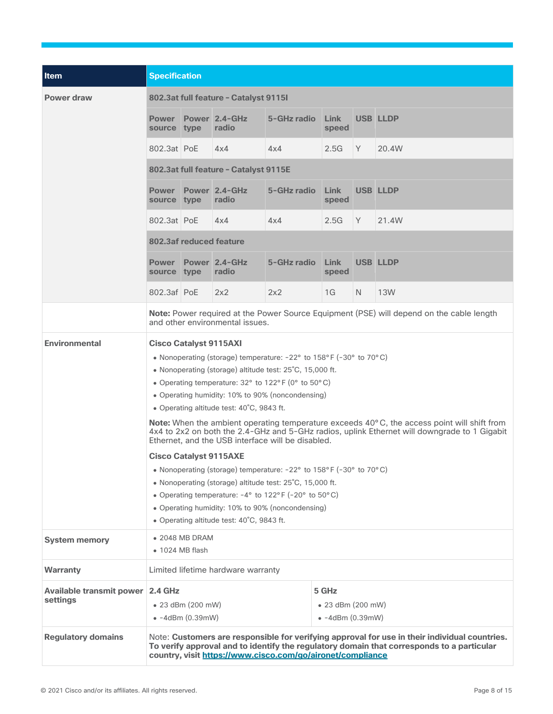| Item                                         |                                                                                                                                                                                                                                                                                                                                                                                                                                                                                                                                                                                                                                                                                                                                                                                                                                                                                                                                                               | <b>Specification</b>                                                                                                               |                                       |             |               |    |                 |
|----------------------------------------------|---------------------------------------------------------------------------------------------------------------------------------------------------------------------------------------------------------------------------------------------------------------------------------------------------------------------------------------------------------------------------------------------------------------------------------------------------------------------------------------------------------------------------------------------------------------------------------------------------------------------------------------------------------------------------------------------------------------------------------------------------------------------------------------------------------------------------------------------------------------------------------------------------------------------------------------------------------------|------------------------------------------------------------------------------------------------------------------------------------|---------------------------------------|-------------|---------------|----|-----------------|
|                                              |                                                                                                                                                                                                                                                                                                                                                                                                                                                                                                                                                                                                                                                                                                                                                                                                                                                                                                                                                               |                                                                                                                                    |                                       |             |               |    |                 |
| <b>Power draw</b>                            | 802.3at full feature - Catalyst 91151                                                                                                                                                                                                                                                                                                                                                                                                                                                                                                                                                                                                                                                                                                                                                                                                                                                                                                                         |                                                                                                                                    |                                       |             |               |    |                 |
|                                              | source type                                                                                                                                                                                                                                                                                                                                                                                                                                                                                                                                                                                                                                                                                                                                                                                                                                                                                                                                                   |                                                                                                                                    | <b>Power Power 2.4-GHz</b><br>radio   | 5-GHz radio | Link<br>speed |    | <b>USB LLDP</b> |
|                                              | 802.3at PoE                                                                                                                                                                                                                                                                                                                                                                                                                                                                                                                                                                                                                                                                                                                                                                                                                                                                                                                                                   |                                                                                                                                    | 4x4                                   | 4x4         | 2.5G          | Y  | 20.4W           |
|                                              |                                                                                                                                                                                                                                                                                                                                                                                                                                                                                                                                                                                                                                                                                                                                                                                                                                                                                                                                                               |                                                                                                                                    | 802.3at full feature - Catalyst 9115E |             |               |    |                 |
|                                              | source type                                                                                                                                                                                                                                                                                                                                                                                                                                                                                                                                                                                                                                                                                                                                                                                                                                                                                                                                                   |                                                                                                                                    | <b>Power Power 2.4-GHz</b><br>radio   | 5-GHz radio | Link<br>speed |    | <b>USB LLDP</b> |
|                                              | 802.3at PoE                                                                                                                                                                                                                                                                                                                                                                                                                                                                                                                                                                                                                                                                                                                                                                                                                                                                                                                                                   |                                                                                                                                    | 4x4                                   | 4x4         | 2.5G          | Y  | 21.4W           |
|                                              |                                                                                                                                                                                                                                                                                                                                                                                                                                                                                                                                                                                                                                                                                                                                                                                                                                                                                                                                                               |                                                                                                                                    | 802.3af reduced feature               |             |               |    |                 |
|                                              | source type                                                                                                                                                                                                                                                                                                                                                                                                                                                                                                                                                                                                                                                                                                                                                                                                                                                                                                                                                   |                                                                                                                                    | <b>Power Power 2.4-GHz</b><br>radio   | 5-GHz radio | Link<br>speed |    | <b>USB LLDP</b> |
|                                              | 802.3af PoE                                                                                                                                                                                                                                                                                                                                                                                                                                                                                                                                                                                                                                                                                                                                                                                                                                                                                                                                                   |                                                                                                                                    | 2x2                                   | 2x2         | 1G            | N. | 13W             |
|                                              |                                                                                                                                                                                                                                                                                                                                                                                                                                                                                                                                                                                                                                                                                                                                                                                                                                                                                                                                                               | <b>Note:</b> Power required at the Power Source Equipment (PSE) will depend on the cable length<br>and other environmental issues. |                                       |             |               |    |                 |
| <b>Environmental</b>                         | <b>Cisco Catalyst 9115AXI</b><br>• Nonoperating (storage) temperature: $-22^{\circ}$ to 158°F ( $-30^{\circ}$ to 70°C)<br>• Nonoperating (storage) altitude test: 25°C, 15,000 ft.<br>• Operating temperature: $32^{\circ}$ to $122^{\circ}$ F (0° to $50^{\circ}$ C)<br>• Operating humidity: 10% to 90% (noncondensing)<br>• Operating altitude test: 40°C, 9843 ft.<br><b>Note:</b> When the ambient operating temperature exceeds 40°C, the access point will shift from<br>4x4 to 2x2 on both the 2.4-GHz and 5-GHz radios, uplink Ethernet will downgrade to 1 Gigabit<br>Ethernet, and the USB interface will be disabled.<br><b>Cisco Catalyst 9115AXE</b><br>• Nonoperating (storage) temperature: -22° to 158°F (-30° to 70°C)<br>• Nonoperating (storage) altitude test: 25°C, 15,000 ft.<br>• Operating temperature: -4° to 122°F (-20° to 50°C)<br>• Operating humidity: 10% to 90% (noncondensing)<br>• Operating altitude test: 40°C, 9843 ft. |                                                                                                                                    |                                       |             |               |    |                 |
| <b>System memory</b>                         |                                                                                                                                                                                                                                                                                                                                                                                                                                                                                                                                                                                                                                                                                                                                                                                                                                                                                                                                                               | $\bullet$ 2048 MB DRAM<br>$\bullet$ 1024 MB flash                                                                                  |                                       |             |               |    |                 |
| <b>Warranty</b>                              |                                                                                                                                                                                                                                                                                                                                                                                                                                                                                                                                                                                                                                                                                                                                                                                                                                                                                                                                                               |                                                                                                                                    | Limited lifetime hardware warranty    |             |               |    |                 |
| Available transmit power 2.4 GHz<br>settings | 5 GHz<br>• 23 dBm (200 mW)<br>• 23 dBm (200 mW)<br>$\bullet$ -4dBm (0.39mW)<br>$\bullet$ -4dBm (0.39mW)                                                                                                                                                                                                                                                                                                                                                                                                                                                                                                                                                                                                                                                                                                                                                                                                                                                       |                                                                                                                                    |                                       |             |               |    |                 |
| <b>Regulatory domains</b>                    | Note: Customers are responsible for verifying approval for use in their individual countries.<br>To verify approval and to identify the regulatory domain that corresponds to a particular<br>country, visit https://www.cisco.com/go/aironet/compliance                                                                                                                                                                                                                                                                                                                                                                                                                                                                                                                                                                                                                                                                                                      |                                                                                                                                    |                                       |             |               |    |                 |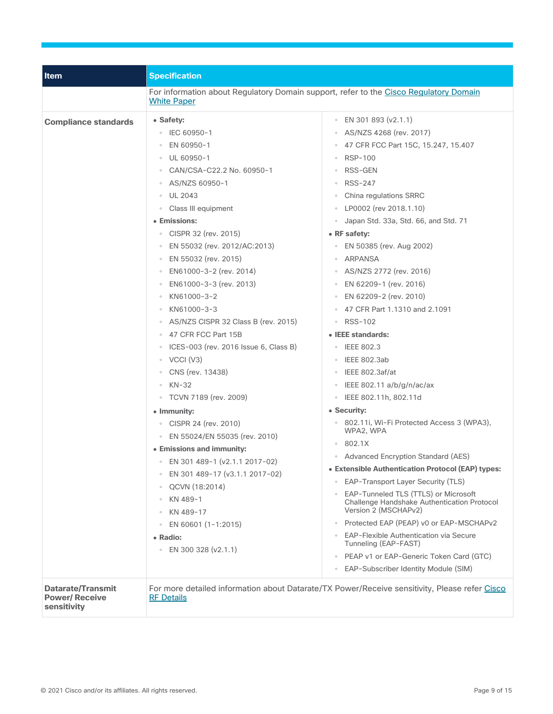| <b>Item</b>                                               | <b>Specification</b>                                                                                                                                                                                                                                                                                                                                                                                                                                                                                                                                                                                                                                                                                                                                                                                                                                                                                                   |                                                                                                                                                                                                                                                                                                                                                                                                                                                                                                                                                                                                                                                                                                                                                                                                                                                                                                                                                                                                                                                                                                                                                                                                                        |
|-----------------------------------------------------------|------------------------------------------------------------------------------------------------------------------------------------------------------------------------------------------------------------------------------------------------------------------------------------------------------------------------------------------------------------------------------------------------------------------------------------------------------------------------------------------------------------------------------------------------------------------------------------------------------------------------------------------------------------------------------------------------------------------------------------------------------------------------------------------------------------------------------------------------------------------------------------------------------------------------|------------------------------------------------------------------------------------------------------------------------------------------------------------------------------------------------------------------------------------------------------------------------------------------------------------------------------------------------------------------------------------------------------------------------------------------------------------------------------------------------------------------------------------------------------------------------------------------------------------------------------------------------------------------------------------------------------------------------------------------------------------------------------------------------------------------------------------------------------------------------------------------------------------------------------------------------------------------------------------------------------------------------------------------------------------------------------------------------------------------------------------------------------------------------------------------------------------------------|
|                                                           | <b>White Paper</b>                                                                                                                                                                                                                                                                                                                                                                                                                                                                                                                                                                                                                                                                                                                                                                                                                                                                                                     | For information about Regulatory Domain support, refer to the Cisco Regulatory Domain                                                                                                                                                                                                                                                                                                                                                                                                                                                                                                                                                                                                                                                                                                                                                                                                                                                                                                                                                                                                                                                                                                                                  |
| <b>Compliance standards</b>                               | • Safety:<br>$\degree$ IEC 60950-1<br>EN 60950-1<br>$\circ$<br>UL 60950-1<br>CAN/CSA-C22.2 No. 60950-1<br>$\circ$<br>AS/NZS 60950-1<br><b>UL 2043</b><br>Class III equipment<br>• Emissions:<br>CISPR 32 (rev. 2015)<br>EN 55032 (rev. 2012/AC:2013)<br>EN 55032 (rev. 2015)<br>$\circ$<br>EN61000-3-2 (rev. 2014)<br>EN61000-3-3 (rev. 2013)<br>$\circ$<br>KN61000-3-2<br>$\circ$<br>KN61000-3-3<br>AS/NZS CISPR 32 Class B (rev. 2015)<br>47 CFR FCC Part 15B<br>$\circ$<br>ICES-003 (rev. 2016 Issue 6, Class B)<br>$\circ$ VCCI (V3)<br>CNS (rev. 13438)<br>$\circ$<br>$KN-32$<br>○ TCVN 7189 (rev. 2009)<br>• Immunity:<br>○ CISPR 24 (rev. 2010)<br>EN 55024/EN 55035 (rev. 2010)<br>$\circ$<br>• Emissions and immunity:<br>• EN 301 489-1 (v2.1.1 2017-02)<br>EN 301 489-17 (v3.1.1 2017-02)<br>QCVN (18:2014)<br>$\circ$<br>KN 489-1<br>KN 489-17<br>EN 60601 (1-1:2015)<br>• Radio:<br>• EN 300 328 (v2.1.1) | • EN 301 893 (v2.1.1)<br>↑ AS/NZS 4268 (rev. 2017)<br>47 CFR FCC Part 15C, 15.247, 15.407<br>$\circ$<br><b>RSP-100</b><br>RSS-GEN<br>$\circ$<br><b>RSS-247</b><br>$\circ$<br>China regulations SRRC<br>• LP0002 (rev 2018.1.10)<br>Japan Std. 33a, Std. 66, and Std. 71<br>• RF safety:<br>○ EN 50385 (rev. Aug 2002)<br><b>ARPANSA</b><br>$\circ$<br>AS/NZS 2772 (rev. 2016)<br>• EN 62209-1 (rev. 2016)<br>EN 62209-2 (rev. 2010)<br>$\circ$<br>47 CFR Part 1.1310 and 2.1091<br>∘ RSS-102<br>• IEEE standards:<br><b>IEEE 802.3</b><br>IEEE 802.3ab<br>IEEE 802.3af/at<br>$\circ$<br>IEEE 802.11 a/b/g/n/ac/ax<br>○ IEEE 802.11h, 802.11d<br>• Security:<br>◦ 802.11i, Wi-Fi Protected Access 3 (WPA3),<br>WPA2, WPA<br>802.1X<br>$\circ$<br>Advanced Encryption Standard (AES)<br>• Extensible Authentication Protocol (EAP) types:<br><b>EAP-Transport Layer Security (TLS)</b><br>$\circ$<br>◦ EAP-Tunneled TLS (TTLS) or Microsoft<br>Challenge Handshake Authentication Protocol<br>Version 2 (MSCHAPv2)<br>Protected EAP (PEAP) v0 or EAP-MSCHAPv2<br>• EAP-Flexible Authentication via Secure<br>Tunneling (EAP-FAST)<br>• PEAP v1 or EAP-Generic Token Card (GTC)<br>• EAP-Subscriber Identity Module (SIM) |
| Datarate/Transmit<br><b>Power/ Receive</b><br>sensitivity | <b>RF Details</b>                                                                                                                                                                                                                                                                                                                                                                                                                                                                                                                                                                                                                                                                                                                                                                                                                                                                                                      | For more detailed information about Datarate/TX Power/Receive sensitivity, Please refer Cisco                                                                                                                                                                                                                                                                                                                                                                                                                                                                                                                                                                                                                                                                                                                                                                                                                                                                                                                                                                                                                                                                                                                          |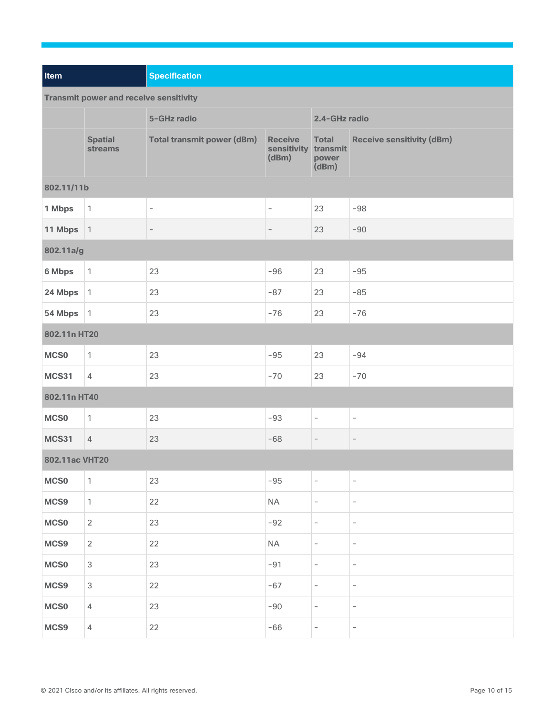| Item                                          |                                  | <b>Specification</b>              |                                                 |                                |                                  |  |  |
|-----------------------------------------------|----------------------------------|-----------------------------------|-------------------------------------------------|--------------------------------|----------------------------------|--|--|
| <b>Transmit power and receive sensitivity</b> |                                  |                                   |                                                 |                                |                                  |  |  |
|                                               |                                  | 5-GHz radio                       |                                                 |                                | 2.4-GHz radio                    |  |  |
|                                               | <b>Spatial</b><br><b>streams</b> | <b>Total transmit power (dBm)</b> | <b>Receive</b><br>sensitivity transmit<br>(dBm) | <b>Total</b><br>power<br>(dBm) | <b>Receive sensitivity (dBm)</b> |  |  |
| 802.11/11b                                    |                                  |                                   |                                                 |                                |                                  |  |  |
| 1 Mbps                                        | $\mathbf{1}$                     | $\overline{\phantom{a}}$          | $\overline{\phantom{a}}$                        | 23                             | $-98$                            |  |  |
| 11 Mbps                                       | $\vert$ 1                        | $\overline{\phantom{a}}$          | $\overline{\phantom{a}}$                        | 23                             | $-90$                            |  |  |
| 802.11a/g                                     |                                  |                                   |                                                 |                                |                                  |  |  |
| 6 Mbps                                        | $\mathbf{1}$                     | 23                                | $-96$                                           | 23                             | $-95$                            |  |  |
| 24 Mbps                                       | $\mathbf{1}$                     | 23                                | $-87$                                           | 23                             | $-85$                            |  |  |
| 54 Mbps                                       | $\mathbf{1}$                     | 23                                | $-76$                                           | 23                             | $-76$                            |  |  |
| 802.11n HT20                                  |                                  |                                   |                                                 |                                |                                  |  |  |
| MCS <sub>0</sub>                              | $\mathbf{1}$                     | 23                                | $-95$                                           | 23                             | $-94$                            |  |  |
| <b>MCS31</b>                                  | $\overline{4}$                   | 23                                | $-70$                                           | 23                             | $-70$                            |  |  |
| 802.11n HT40                                  |                                  |                                   |                                                 |                                |                                  |  |  |
| <b>MCS0</b>                                   | $\mathbf{1}$                     | 23                                | $-93$                                           | $\overline{\phantom{a}}$       | $\overline{\phantom{a}}$         |  |  |
| <b>MCS31</b>                                  | $\overline{4}$                   | 23                                | $-68$                                           | $\overline{\phantom{a}}$       | $\overline{\phantom{a}}$         |  |  |
| 802.11ac VHT20                                |                                  |                                   |                                                 |                                |                                  |  |  |
| MCS <sub>0</sub>                              | $\mathbf{1}$                     | 23                                | $-95$                                           | $\overline{\phantom{a}}$       | $\overline{\phantom{a}}$         |  |  |
| MCS9                                          | $\mathbf{1}$                     | 22                                | $\sf NA$                                        | $\overline{\phantom{a}}$       | $\overline{\phantom{a}}$         |  |  |
| MCS0                                          | $\overline{2}$                   | 23                                | $-92$                                           | $\overline{\phantom{a}}$       | $\overline{\phantom{a}}$         |  |  |
| MCS9                                          | $\overline{2}$                   | 22                                | <b>NA</b>                                       | $\overline{\phantom{a}}$       | $\overline{\phantom{a}}$         |  |  |
| MCS0                                          | 3                                | 23                                | $-91$                                           | $\overline{\phantom{a}}$       | $\overline{\phantom{a}}$         |  |  |
| MCS9                                          | $\mathfrak{S}$                   | 22                                | $-67$                                           | $\overline{\phantom{a}}$       | $\overline{\phantom{a}}$         |  |  |
| MCS0                                          | 4                                | 23                                | $-90$                                           | $\overline{\phantom{m}}$       | $\overline{\phantom{a}}$         |  |  |
| MCS9                                          | $\overline{4}$                   | 22                                | $-66$                                           | $\overline{\phantom{a}}$       | $\overline{\phantom{a}}$         |  |  |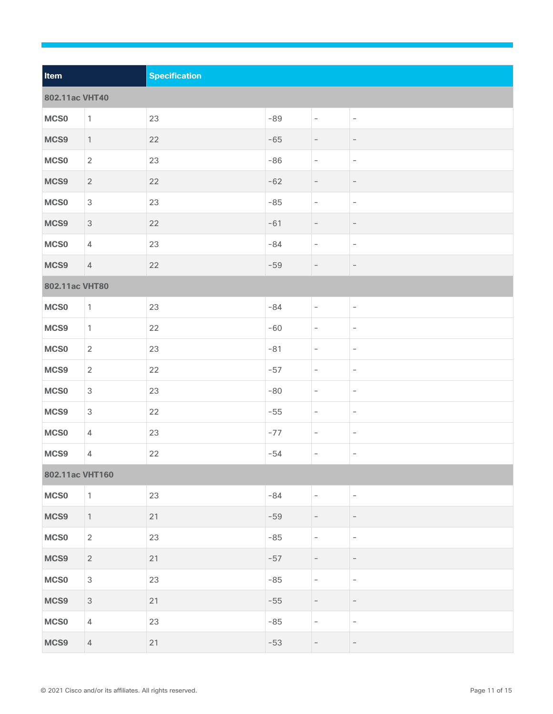| Item            |                           | <b>Specification</b> |       |                          |                          |
|-----------------|---------------------------|----------------------|-------|--------------------------|--------------------------|
| 802.11ac VHT40  |                           |                      |       |                          |                          |
| MCS0            | $\mathbf{1}$              | 23                   | $-89$ | $\overline{\phantom{a}}$ | $\overline{\phantom{a}}$ |
| MCS9            | $\overline{1}$            | 22                   | $-65$ | $\overline{\phantom{a}}$ | $\overline{\phantom{a}}$ |
| MCS0            | $\sqrt{2}$                | 23                   | $-86$ | $\overline{\phantom{a}}$ | $\overline{\phantom{a}}$ |
| MCS9            | $\overline{2}$            | 22                   | $-62$ | $\overline{\phantom{a}}$ | $\overline{\phantom{a}}$ |
| MCS0            | $\ensuremath{\mathsf{3}}$ | 23                   | $-85$ | $\overline{\phantom{a}}$ | $\overline{\phantom{a}}$ |
| MCS9            | $\ensuremath{\mathsf{3}}$ | 22                   | $-61$ | $\overline{\phantom{a}}$ | $\overline{\phantom{a}}$ |
| MCS0            | $\sqrt{4}$                | 23                   | $-84$ | $\overline{\phantom{a}}$ | $\overline{\phantom{a}}$ |
| MCS9            | $\overline{4}$            | 22                   | $-59$ | $\overline{\phantom{a}}$ | $\overline{\phantom{a}}$ |
| 802.11ac VHT80  |                           |                      |       |                          |                          |
| MCS0            | $\mathbf{1}$              | 23                   | $-84$ | $\overline{\phantom{a}}$ | $\overline{\phantom{a}}$ |
| MCS9            | $\mathbf{1}$              | 22                   | $-60$ | $\overline{\phantom{a}}$ | $\overline{\phantom{a}}$ |
| MCS0            | $\overline{2}$            | 23                   | $-81$ | $\overline{\phantom{a}}$ | $\overline{\phantom{a}}$ |
| MCS9            | $\overline{2}$            | 22                   | $-57$ | $\overline{\phantom{a}}$ | $\overline{\phantom{a}}$ |
| MCS0            | $\mathsf 3$               | 23                   | $-80$ | $\overline{\phantom{a}}$ | $\overline{\phantom{a}}$ |
| MCS9            | $\ensuremath{\mathsf{3}}$ | 22                   | $-55$ | $\overline{\phantom{a}}$ | $\overline{\phantom{a}}$ |
| MCS0            | $\overline{4}$            | 23                   | $-77$ | $\overline{\phantom{a}}$ | $\overline{\phantom{a}}$ |
| MCS9            | $\sqrt{4}$                | 22                   | $-54$ | $\overline{\phantom{a}}$ | $\overline{\phantom{a}}$ |
| 802.11ac VHT160 |                           |                      |       |                          |                          |
| <b>MCS0</b>     | $\mathbf{1}$              | 23                   | $-84$ | $\overline{\phantom{a}}$ | $\overline{\phantom{a}}$ |
| MCS9            | $\mathbf{1}$              | 21                   | $-59$ | $\overline{\phantom{a}}$ | $\overline{\phantom{a}}$ |
| <b>MCS0</b>     | $\overline{2}$            | 23                   | $-85$ | $\overline{\phantom{a}}$ | $\overline{\phantom{a}}$ |
| MCS9            | $\overline{2}$            | 21                   | $-57$ | $\overline{\phantom{a}}$ | $\overline{\phantom{a}}$ |
| <b>MCS0</b>     | $\mathsf 3$               | 23                   | $-85$ | $\overline{\phantom{a}}$ | $\overline{\phantom{a}}$ |
| MCS9            | $\ensuremath{\mathsf{3}}$ | 21                   | $-55$ | $\overline{\phantom{a}}$ | $\overline{\phantom{a}}$ |
| MCS0            | $\overline{4}$            | 23                   | $-85$ | $\overline{\phantom{a}}$ | $\overline{\phantom{a}}$ |
| MCS9            | $\overline{4}$            | 21                   | $-53$ | $\overline{\phantom{a}}$ | $\overline{\phantom{a}}$ |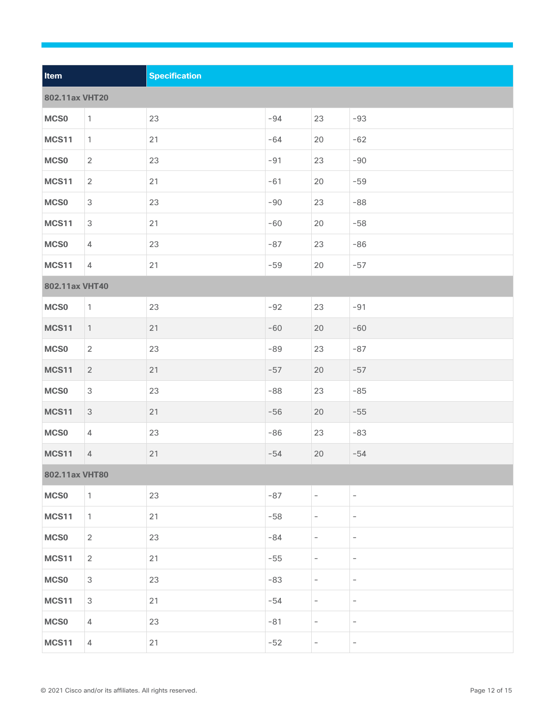| Item           |                           | <b>Specification</b> |       |                          |                          |
|----------------|---------------------------|----------------------|-------|--------------------------|--------------------------|
| 802.11ax VHT20 |                           |                      |       |                          |                          |
| <b>MCS0</b>    | $\mathbf{1}$              | 23                   | $-94$ | 23                       | $-93$                    |
| <b>MCS11</b>   | $\mathbf{1}$              | 21                   | $-64$ | 20                       | $-62$                    |
| <b>MCS0</b>    | $\overline{2}$            | 23                   | $-91$ | 23                       | $-90$                    |
| <b>MCS11</b>   | $\overline{2}$            | 21                   | $-61$ | 20                       | $-59$                    |
|                | $\ensuremath{\mathsf{3}}$ | 23                   | $-90$ |                          | $-88$                    |
| <b>MCS0</b>    |                           |                      |       | 23                       |                          |
| <b>MCS11</b>   | $\ensuremath{\mathsf{3}}$ | 21                   | $-60$ | 20                       | $-58$                    |
| <b>MCS0</b>    | 4                         | 23                   | $-87$ | 23                       | $-86$                    |
| <b>MCS11</b>   | $\overline{4}$            | 21                   | $-59$ | 20                       | $-57$                    |
| 802.11ax VHT40 |                           |                      |       |                          |                          |
| <b>MCS0</b>    | $\mathbf{1}$              | 23                   | $-92$ | 23                       | $-91$                    |
| <b>MCS11</b>   | $\mathbf{1}$              | 21                   | $-60$ | 20                       | $-60$                    |
| <b>MCS0</b>    | $\sqrt{2}$                | 23                   | $-89$ | 23                       | $-87$                    |
| <b>MCS11</b>   | $\overline{2}$            | 21                   | $-57$ | 20                       | $-57$                    |
| <b>MCS0</b>    | $\ensuremath{\mathsf{3}}$ | 23                   | $-88$ | 23                       | $-85$                    |
| <b>MCS11</b>   | 3                         | 21                   | $-56$ | 20                       | $-55$                    |
| <b>MCS0</b>    | $\overline{4}$            | 23                   | $-86$ | 23                       | $-83$                    |
| <b>MCS11</b>   | $\overline{4}$            | 21                   | $-54$ | 20                       | $-54$                    |
| 802.11ax VHT80 |                           |                      |       |                          |                          |
| <b>MCS0</b>    | $\mathbf{1}$              | 23                   | $-87$ | $\overline{\phantom{a}}$ | $\overline{\phantom{a}}$ |
| <b>MCS11</b>   | $\mathbf{1}$              | 21                   | $-58$ | $\overline{\phantom{a}}$ | $\overline{\phantom{a}}$ |
| <b>MCS0</b>    | $\overline{2}$            | 23                   | $-84$ | $\overline{\phantom{0}}$ | $\overline{\phantom{a}}$ |
| <b>MCS11</b>   | $\overline{2}$            | 21                   | $-55$ | $\overline{\phantom{a}}$ | $\overline{\phantom{a}}$ |
| <b>MCS0</b>    | $\ensuremath{\mathsf{3}}$ | 23                   | $-83$ | $\overline{\phantom{a}}$ | $\overline{\phantom{a}}$ |
| <b>MCS11</b>   | $\ensuremath{\mathsf{3}}$ | 21                   | $-54$ | $\overline{\phantom{a}}$ | $\overline{\phantom{a}}$ |
| <b>MCS0</b>    | 4                         | 23                   | $-81$ | $\overline{\phantom{a}}$ | $\overline{\phantom{a}}$ |
| <b>MCS11</b>   | $\overline{4}$            | 21                   | $-52$ | $\overline{\phantom{a}}$ | $\overline{\phantom{a}}$ |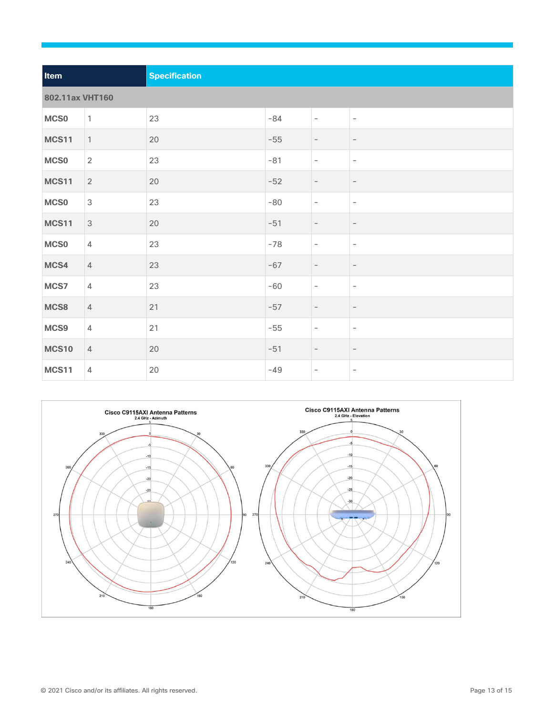| Item             |                           | <b>Specification</b> |       |                          |                          |  |  |
|------------------|---------------------------|----------------------|-------|--------------------------|--------------------------|--|--|
|                  | 802.11ax VHT160           |                      |       |                          |                          |  |  |
| MCS <sub>0</sub> | $\overline{1}$            | 23                   | $-84$ | $\overline{\phantom{a}}$ | $\overline{\phantom{a}}$ |  |  |
| <b>MCS11</b>     | $\overline{1}$            | 20                   | $-55$ | $\overline{\phantom{a}}$ | $\overline{\phantom{a}}$ |  |  |
| <b>MCS0</b>      | $\overline{2}$            | 23                   | $-81$ | $\overline{\phantom{a}}$ | $\overline{\phantom{a}}$ |  |  |
| <b>MCS11</b>     | 2                         | 20                   | $-52$ | $\overline{\phantom{a}}$ | $\overline{\phantom{a}}$ |  |  |
| MCS <sub>0</sub> | $\ensuremath{\mathsf{3}}$ | 23                   | $-80$ | $\overline{\phantom{a}}$ | $\overline{\phantom{a}}$ |  |  |
| <b>MCS11</b>     | $\mathbf{3}$              | 20                   | $-51$ | $\overline{\phantom{a}}$ | $\overline{\phantom{a}}$ |  |  |
| <b>MCS0</b>      | $\overline{4}$            | 23                   | $-78$ | $\overline{\phantom{a}}$ | $\overline{\phantom{a}}$ |  |  |
| MCS4             | $\overline{4}$            | 23                   | $-67$ | $\overline{\phantom{a}}$ | $\overline{\phantom{a}}$ |  |  |
| MCS7             | $\sqrt{4}$                | 23                   | $-60$ | $\overline{\phantom{a}}$ | $\overline{\phantom{a}}$ |  |  |
| MCS8             | $\overline{4}$            | 21                   | $-57$ | $\overline{\phantom{a}}$ | $\overline{\phantom{a}}$ |  |  |
| MCS9             | $\sqrt{4}$                | 21                   | $-55$ | $\overline{\phantom{a}}$ | $\overline{\phantom{a}}$ |  |  |
| <b>MCS10</b>     | $\overline{4}$            | 20                   | $-51$ | $\overline{\phantom{a}}$ | $\overline{\phantom{a}}$ |  |  |
| <b>MCS11</b>     | $\overline{4}$            | $20\,$               | $-49$ | $\overline{\phantom{a}}$ | $\overline{\phantom{a}}$ |  |  |

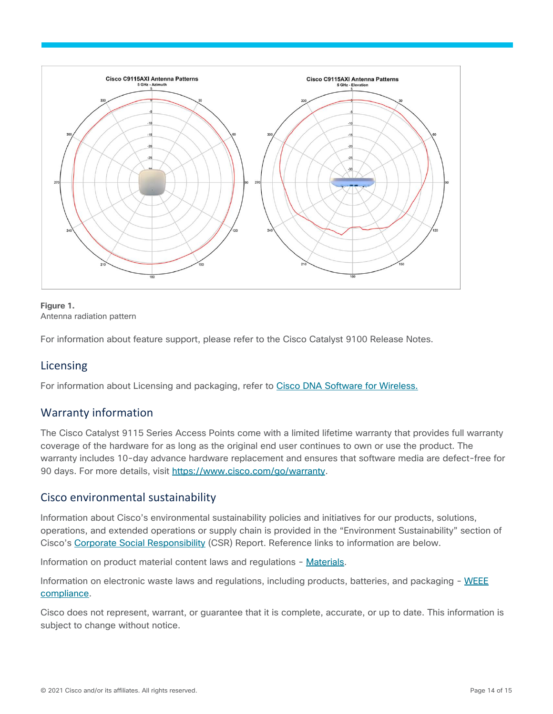

#### **Figure 1.**  Antenna radiation pattern

For information about feature support, please refer to the Cisco Catalyst 9100 Release Notes.

## <span id="page-13-0"></span>Licensing

For information about Licensing and packaging, refer to [Cisco DNA Software for Wireless.](https://www.cisco.com/site/us/en/products/networking/access-software/dna-subscription-wireless/index.html)

## <span id="page-13-1"></span>Warranty information

The Cisco Catalyst 9115 Series Access Points come with a limited lifetime warranty that provides full warranty coverage of the hardware for as long as the original end user continues to own or use the product. The warranty includes 10-day advance hardware replacement and ensures that software media are defect-free for 90 days. For more details, visit [https://www.cisco.com/go/warranty.](https://www.cisco.com/go/warranty)

## <span id="page-13-2"></span>Cisco environmental sustainability

Information about Cisco's environmental sustainability policies and initiatives for our products, solutions, operations, and extended operations or supply chain is provided in the "Environment Sustainability" section of Cisco's [Corporate Social Responsibility](https://www-1.compliance2product.com/c2p/getAttachment.do?code=YM6Y0yThdO6Wj1FxxYPYfUG2dtFkTeFWGpzLRO8tcURFEifUCRV403Tq2ZMWP6Ai) (CSR) Report. Reference links to information are below.

Information on product material content laws and regulations - [Materials.](https://www.cisco.com/c/en/us/about/product-innovation-stewardship/materials.html)

Information on electronic waste laws and regulations, including products, batteries, and packaging - [WEEE](https://www.cisco.com/c/en/us/about/takeback-and-reuse/product-recycling/weee-compliance.html?dtid=osscdc000283) [compliance.](https://www.cisco.com/c/en/us/about/takeback-and-reuse/product-recycling/weee-compliance.html?dtid=osscdc000283)

Cisco does not represent, warrant, or guarantee that it is complete, accurate, or up to date. This information is subject to change without notice.